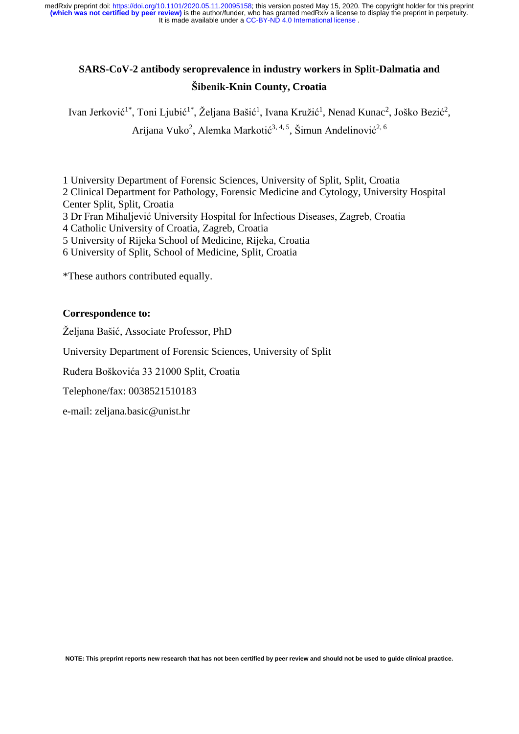# **SARS-CoV-2 antibody seroprevalence in industry workers in Split-Dalmatia and Šibenik-Knin County, Croatia**

Ivan Jerković<sup>1\*</sup>, Toni Ljubić<sup>1\*</sup>, Željana Bašić<sup>1</sup>, Ivana Kružić<sup>1</sup>, Nenad Kunac<sup>2</sup>, Joško Bezić<sup>2</sup>, Arijana Vuko<sup>2</sup>, Alemka Markotić<sup>3, 4, 5</sup>, Šimun Anđelinović<sup>2, 6</sup>

1 University Department of Forensic Sciences, University of Split, Split, Croatia

2 Clinical Department for Pathology, Forensic Medicine and Cytology, University Hospital Center Split, Split, Croatia

3 Dr Fran Mihaljević University Hospital for Infectious Diseases, Zagreb, Croatia

4 Catholic University of Croatia, Zagreb, Croatia

5 University of Rijeka School of Medicine, Rijeka, Croatia

6 University of Split, School of Medicine, Split, Croatia

\*These authors contributed equally.

#### **Correspondence to:**

Željana Bašić, Associate Professor, PhD

University Department of Forensic Sciences, University of Split

Ruđera Boškovića 33 21000 Split, Croatia

Telephone/fax: 0038521510183

e-mail: zeljana.basic@unist.hr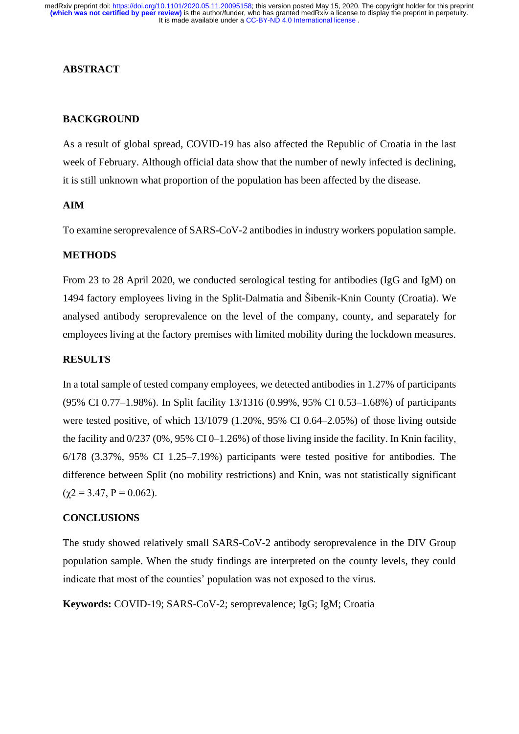### **ABSTRACT**

# **BACKGROUND**

As a result of global spread, COVID-19 has also affected the Republic of Croatia in the last week of February. Although official data show that the number of newly infected is declining, it is still unknown what proportion of the population has been affected by the disease.

# **AIM**

To examine seroprevalence of SARS-CoV-2 antibodies in industry workers population sample.

### **METHODS**

From 23 to 28 April 2020, we conducted serological testing for antibodies (IgG and IgM) on 1494 factory employees living in the Split-Dalmatia and Šibenik-Knin County (Croatia). We analysed antibody seroprevalence on the level of the company, county, and separately for employees living at the factory premises with limited mobility during the lockdown measures.

# **RESULTS**

In a total sample of tested company employees, we detected antibodies in 1.27% of participants (95% CI 0.77–1.98%). In Split facility 13/1316 (0.99%, 95% CI 0.53–1.68%) of participants were tested positive, of which 13/1079 (1.20%, 95% CI 0.64–2.05%) of those living outside the facility and  $0/237 (0\%, 95\% \text{ CI } 0-1.26\%)$  of those living inside the facility. In Knin facility, 6/178 (3.37%, 95% CI 1.25–7.19%) participants were tested positive for antibodies. The difference between Split (no mobility restrictions) and Knin, was not statistically significant  $(\gamma 2 = 3.47, P = 0.062).$ 

#### **CONCLUSIONS**

The study showed relatively small SARS-CoV-2 antibody seroprevalence in the DIV Group population sample. When the study findings are interpreted on the county levels, they could indicate that most of the counties' population was not exposed to the virus.

**Keywords:** COVID-19; SARS-CoV-2; seroprevalence; IgG; IgM; Croatia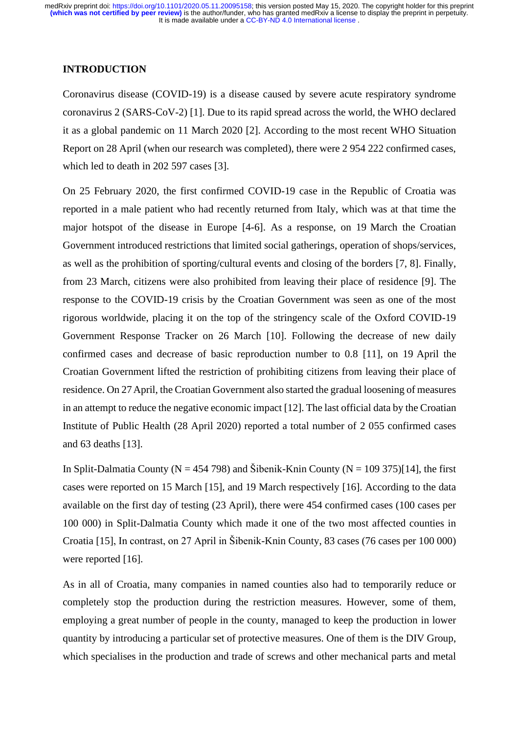### **INTRODUCTION**

Coronavirus disease (COVID-19) is a disease caused by severe acute respiratory syndrome coronavirus 2 (SARS-CoV-2) [1]. Due to its rapid spread across the world, the WHO declared it as a global pandemic on 11 March 2020 [2]. According to the most recent WHO Situation Report on 28 April (when our research was completed), there were 2 954 222 confirmed cases, which led to death in 202 597 cases [3].

On 25 February 2020, the first confirmed COVID-19 case in the Republic of Croatia was reported in a male patient who had recently returned from Italy, which was at that time the major hotspot of the disease in Europe [4-6]. As a response, on 19 March the Croatian Government introduced restrictions that limited social gatherings, operation of shops/services, as well as the prohibition of sporting/cultural events and closing of the borders [7, 8]. Finally, from 23 March, citizens were also prohibited from leaving their place of residence [9]. The response to the COVID-19 crisis by the Croatian Government was seen as one of the most rigorous worldwide, placing it on the top of the stringency scale of the Oxford COVID-19 Government Response Tracker on 26 March [10]. Following the decrease of new daily confirmed cases and decrease of basic reproduction number to 0.8 [11], on 19 April the Croatian Government lifted the restriction of prohibiting citizens from leaving their place of residence. On 27April, the Croatian Government also started the gradual loosening of measures in an attempt to reduce the negative economic impact [12]. The last official data by the Croatian Institute of Public Health (28 April 2020) reported a total number of 2 055 confirmed cases and 63 deaths [13].

In Split-Dalmatia County ( $N = 454,798$ ) and Šibenik-Knin County ( $N = 109,375$ )[14], the first cases were reported on 15 March [15], and 19 March respectively [16]. According to the data available on the first day of testing (23 April), there were 454 confirmed cases (100 cases per 100 000) in Split-Dalmatia County which made it one of the two most affected counties in Croatia [15], In contrast, on 27 April in Šibenik-Knin County, 83 cases (76 cases per 100 000) were reported [16].

As in all of Croatia, many companies in named counties also had to temporarily reduce or completely stop the production during the restriction measures. However, some of them, employing a great number of people in the county, managed to keep the production in lower quantity by introducing a particular set of protective measures. One of them is the DIV Group, which specialises in the production and trade of screws and other mechanical parts and metal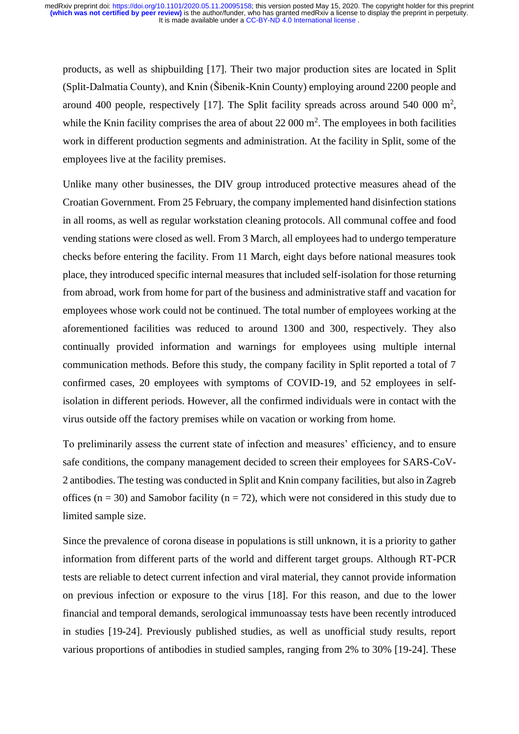products, as well as shipbuilding [17]. Their two major production sites are located in Split (Split-Dalmatia County), and Knin (Šibenik-Knin County) employing around 2200 people and around 400 people, respectively [17]. The Split facility spreads across around 540 000  $m^2$ , while the Knin facility comprises the area of about  $22 000 \text{ m}^2$ . The employees in both facilities work in different production segments and administration. At the facility in Split, some of the employees live at the facility premises.

Unlike many other businesses, the DIV group introduced protective measures ahead of the Croatian Government. From 25 February, the company implemented hand disinfection stations in all rooms, as well as regular workstation cleaning protocols. All communal coffee and food vending stations were closed as well. From 3 March, all employees had to undergo temperature checks before entering the facility. From 11 March, eight days before national measures took place, they introduced specific internal measures that included self-isolation for those returning from abroad, work from home for part of the business and administrative staff and vacation for employees whose work could not be continued. The total number of employees working at the aforementioned facilities was reduced to around 1300 and 300, respectively. They also continually provided information and warnings for employees using multiple internal communication methods. Before this study, the company facility in Split reported a total of 7 confirmed cases, 20 employees with symptoms of COVID-19, and 52 employees in selfisolation in different periods. However, all the confirmed individuals were in contact with the virus outside off the factory premises while on vacation or working from home.

To preliminarily assess the current state of infection and measures' efficiency, and to ensure safe conditions, the company management decided to screen their employees for SARS-CoV-2 antibodies. The testing was conducted in Split and Knin company facilities, but also in Zagreb offices ( $n = 30$ ) and Samobor facility ( $n = 72$ ), which were not considered in this study due to limited sample size.

Since the prevalence of corona disease in populations is still unknown, it is a priority to gather information from different parts of the world and different target groups. Although RT-PCR tests are reliable to detect current infection and viral material, they cannot provide information on previous infection or exposure to the virus [18]. For this reason, and due to the lower financial and temporal demands, serological immunoassay tests have been recently introduced in studies [19-24]. Previously published studies, as well as unofficial study results, report various proportions of antibodies in studied samples, ranging from 2% to 30% [19-24]. These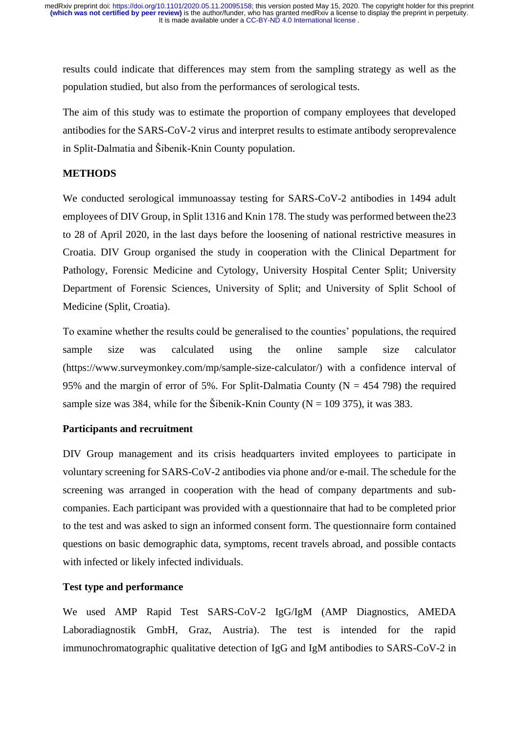results could indicate that differences may stem from the sampling strategy as well as the population studied, but also from the performances of serological tests.

The aim of this study was to estimate the proportion of company employees that developed antibodies for the SARS-CoV-2 virus and interpret results to estimate antibody seroprevalence in Split-Dalmatia and Šibenik-Knin County population.

# **METHODS**

We conducted serological immunoassay testing for SARS-CoV-2 antibodies in 1494 adult employees of DIV Group, in Split 1316 and Knin 178. The study was performed between the23 to 28 of April 2020, in the last days before the loosening of national restrictive measures in Croatia. DIV Group organised the study in cooperation with the Clinical Department for Pathology, Forensic Medicine and Cytology, University Hospital Center Split; University Department of Forensic Sciences, University of Split; and University of Split School of Medicine (Split, Croatia).

To examine whether the results could be generalised to the counties' populations, the required sample size was calculated using the online sample size calculator (https://www.surveymonkey.com/mp/sample-size-calculator/) with a confidence interval of 95% and the margin of error of 5%. For Split-Dalmatia County ( $N = 454$  798) the required sample size was 384, while for the Šibenik-Knin County ( $N = 109$  375), it was 383.

# **Participants and recruitment**

DIV Group management and its crisis headquarters invited employees to participate in voluntary screening for SARS-CoV-2 antibodies via phone and/or e-mail. The schedule for the screening was arranged in cooperation with the head of company departments and subcompanies. Each participant was provided with a questionnaire that had to be completed prior to the test and was asked to sign an informed consent form. The questionnaire form contained questions on basic demographic data, symptoms, recent travels abroad, and possible contacts with infected or likely infected individuals.

# **Test type and performance**

We used AMP Rapid Test SARS-CoV-2 IgG/IgM (AMP Diagnostics, AMEDA Laboradiagnostik GmbH, Graz, Austria). The test is intended for the rapid immunochromatographic qualitative detection of IgG and IgM antibodies to SARS-CoV-2 in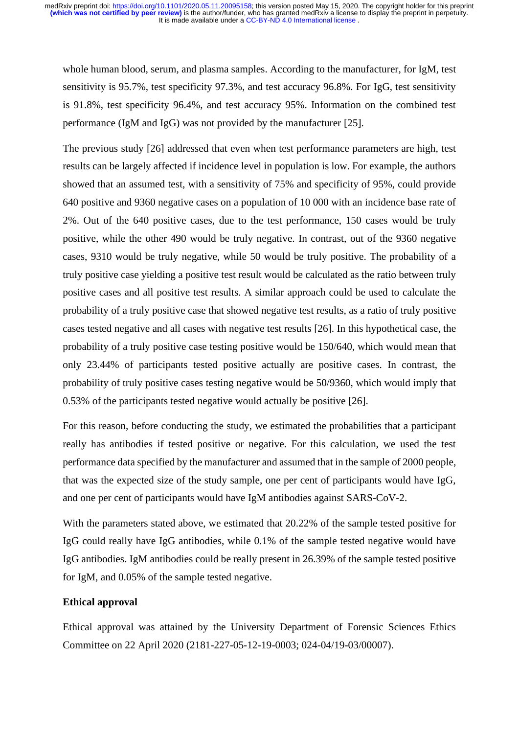whole human blood, serum, and plasma samples. According to the manufacturer, for IgM, test sensitivity is 95.7%, test specificity 97.3%, and test accuracy 96.8%. For IgG, test sensitivity is 91.8%, test specificity 96.4%, and test accuracy 95%. Information on the combined test performance (IgM and IgG) was not provided by the manufacturer [25].

The previous study [26] addressed that even when test performance parameters are high, test results can be largely affected if incidence level in population is low. For example, the authors showed that an assumed test, with a sensitivity of 75% and specificity of 95%, could provide 640 positive and 9360 negative cases on a population of 10 000 with an incidence base rate of 2%. Out of the 640 positive cases, due to the test performance, 150 cases would be truly positive, while the other 490 would be truly negative. In contrast, out of the 9360 negative cases, 9310 would be truly negative, while 50 would be truly positive. The probability of a truly positive case yielding a positive test result would be calculated as the ratio between truly positive cases and all positive test results. A similar approach could be used to calculate the probability of a truly positive case that showed negative test results, as a ratio of truly positive cases tested negative and all cases with negative test results [26]. In this hypothetical case, the probability of a truly positive case testing positive would be 150/640, which would mean that only 23.44% of participants tested positive actually are positive cases. In contrast, the probability of truly positive cases testing negative would be 50/9360, which would imply that 0.53% of the participants tested negative would actually be positive [26].

For this reason, before conducting the study, we estimated the probabilities that a participant really has antibodies if tested positive or negative. For this calculation, we used the test performance data specified by the manufacturer and assumed that in the sample of 2000 people, that was the expected size of the study sample, one per cent of participants would have IgG, and one per cent of participants would have IgM antibodies against SARS-CoV-2.

With the parameters stated above, we estimated that 20.22% of the sample tested positive for IgG could really have IgG antibodies, while 0.1% of the sample tested negative would have IgG antibodies. IgM antibodies could be really present in 26.39% of the sample tested positive for IgM, and 0.05% of the sample tested negative.

# **Ethical approval**

Ethical approval was attained by the University Department of Forensic Sciences Ethics Committee on 22 April 2020 (2181-227-05-12-19-0003; 024-04/19-03/00007).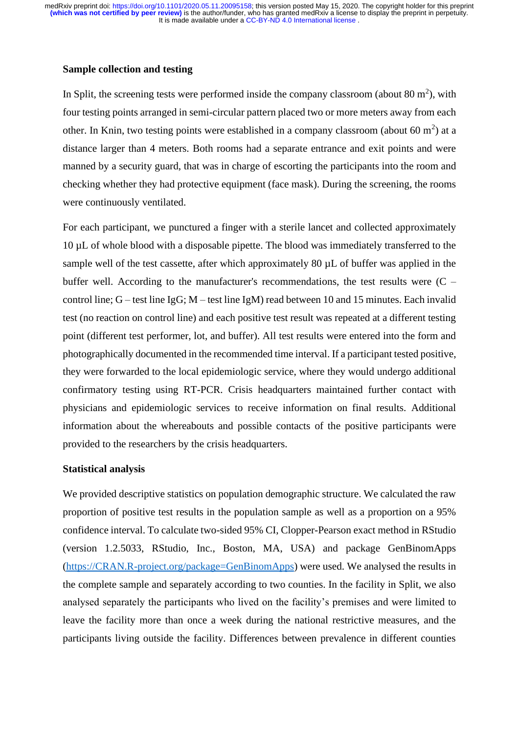### **Sample collection and testing**

In Split, the screening tests were performed inside the company classroom (about  $80 \text{ m}^2$ ), with four testing points arranged in semi-circular pattern placed two or more meters away from each other. In Knin, two testing points were established in a company classroom (about 60  $m<sup>2</sup>$ ) at a distance larger than 4 meters. Both rooms had a separate entrance and exit points and were manned by a security guard, that was in charge of escorting the participants into the room and checking whether they had protective equipment (face mask). During the screening, the rooms were continuously ventilated.

For each participant, we punctured a finger with a sterile lancet and collected approximately 10 µL of whole blood with a disposable pipette. The blood was immediately transferred to the sample well of the test cassette, after which approximately 80  $\mu$ L of buffer was applied in the buffer well. According to the manufacturer's recommendations, the test results were  $(C$ control line; G – test line IgG; M – test line IgM) read between 10 and 15 minutes. Each invalid test (no reaction on control line) and each positive test result was repeated at a different testing point (different test performer, lot, and buffer). All test results were entered into the form and photographically documented in the recommended time interval. If a participant tested positive, they were forwarded to the local epidemiologic service, where they would undergo additional confirmatory testing using RT-PCR. Crisis headquarters maintained further contact with physicians and epidemiologic services to receive information on final results. Additional information about the whereabouts and possible contacts of the positive participants were provided to the researchers by the crisis headquarters.

#### **Statistical analysis**

We provided descriptive statistics on population demographic structure. We calculated the raw proportion of positive test results in the population sample as well as a proportion on a 95% confidence interval. To calculate two-sided 95% CI, Clopper-Pearson exact method in RStudio (version 1.2.5033, RStudio, Inc., Boston, MA, USA) and package GenBinomApps [\(https://CRAN.R-project.org/package=GenBinomApps\)](https://cran.r-project.org/package=GenBinomApps) were used. We analysed the results in the complete sample and separately according to two counties. In the facility in Split, we also analysed separately the participants who lived on the facility's premises and were limited to leave the facility more than once a week during the national restrictive measures, and the participants living outside the facility. Differences between prevalence in different counties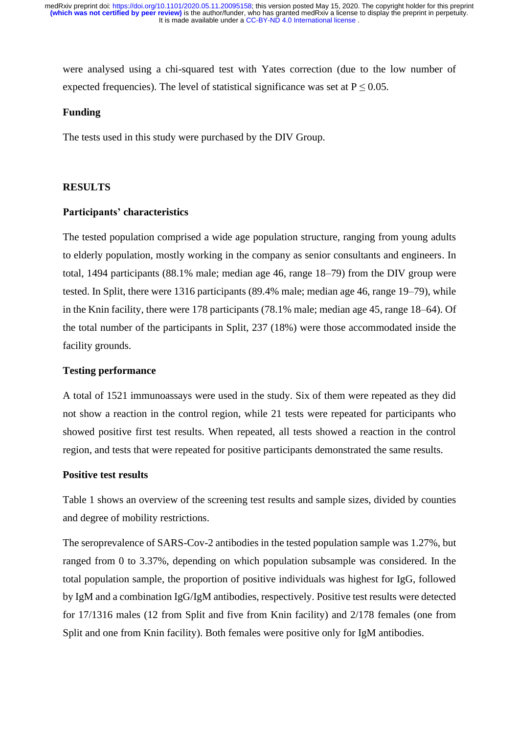were analysed using a chi-squared test with Yates correction (due to the low number of expected frequencies). The level of statistical significance was set at  $P \le 0.05$ .

### **Funding**

The tests used in this study were purchased by the DIV Group.

#### **RESULTS**

#### **Participants' characteristics**

The tested population comprised a wide age population structure, ranging from young adults to elderly population, mostly working in the company as senior consultants and engineers. In total, 1494 participants (88.1% male; median age 46, range 18–79) from the DIV group were tested. In Split, there were 1316 participants (89.4% male; median age 46, range 19–79), while in the Knin facility, there were 178 participants (78.1% male; median age 45, range 18–64). Of the total number of the participants in Split, 237 (18%) were those accommodated inside the facility grounds.

### **Testing performance**

A total of 1521 immunoassays were used in the study. Six of them were repeated as they did not show a reaction in the control region, while 21 tests were repeated for participants who showed positive first test results. When repeated, all tests showed a reaction in the control region, and tests that were repeated for positive participants demonstrated the same results.

### **Positive test results**

Table 1 shows an overview of the screening test results and sample sizes, divided by counties and degree of mobility restrictions.

The seroprevalence of SARS-Cov-2 antibodies in the tested population sample was 1.27%, but ranged from 0 to 3.37%, depending on which population subsample was considered. In the total population sample, the proportion of positive individuals was highest for IgG, followed by IgM and a combination IgG/IgM antibodies, respectively. Positive test results were detected for 17/1316 males (12 from Split and five from Knin facility) and 2/178 females (one from Split and one from Knin facility). Both females were positive only for IgM antibodies.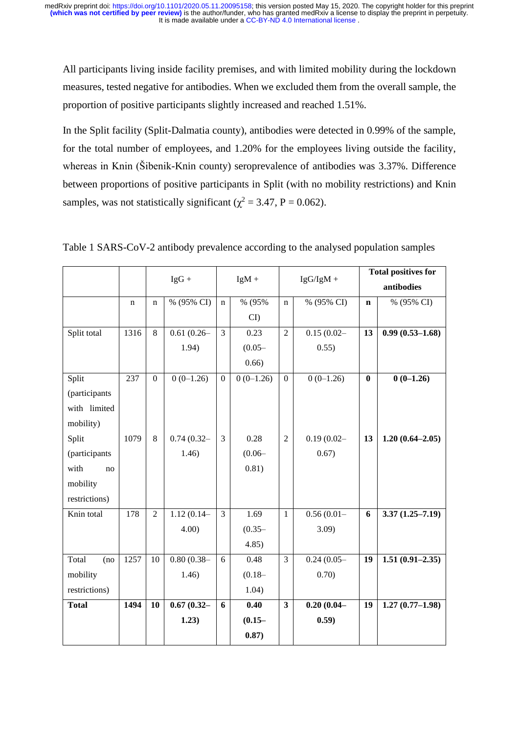All participants living inside facility premises, and with limited mobility during the lockdown measures, tested negative for antibodies. When we excluded them from the overall sample, the proportion of positive participants slightly increased and reached 1.51%.

In the Split facility (Split-Dalmatia county), antibodies were detected in 0.99% of the sample, for the total number of employees, and 1.20% for the employees living outside the facility, whereas in Knin (Šibenik-Knin county) seroprevalence of antibodies was 3.37%. Difference between proportions of positive participants in Split (with no mobility restrictions) and Knin samples, was not statistically significant ( $\chi^2$  = 3.47, P = 0.062).

|               |             |                  | $IgG +$       |                  | $IgM +$     |                  | $IgG/IgM +$   | <b>Total positives for</b> |                     |
|---------------|-------------|------------------|---------------|------------------|-------------|------------------|---------------|----------------------------|---------------------|
|               |             |                  |               |                  |             |                  |               |                            | antibodies          |
|               | $\mathbf n$ | n                | % (95% CI)    | $\mathbf n$      | % (95%      | n                | % (95% CI)    | $\mathbf n$                | % (95% CI)          |
|               |             |                  |               |                  | CI          |                  |               |                            |                     |
| Split total   | 1316        | 8                | $0.61(0.26 -$ | 3                | 0.23        | $\overline{2}$   | $0.15(0.02 -$ | 13                         | $0.99(0.53 - 1.68)$ |
|               |             |                  | 1.94)         |                  | $(0.05 -$   |                  | 0.55)         |                            |                     |
|               |             |                  |               |                  | 0.66)       |                  |               |                            |                     |
| Split         | 237         | $\boldsymbol{0}$ | $0(0-1.26)$   | $\boldsymbol{0}$ | $0(0-1.26)$ | $\boldsymbol{0}$ | $0(0-1.26)$   | $\bf{0}$                   | $0(0-1.26)$         |
| (participants |             |                  |               |                  |             |                  |               |                            |                     |
| with limited  |             |                  |               |                  |             |                  |               |                            |                     |
| mobility)     |             |                  |               |                  |             |                  |               |                            |                     |
| Split         | 1079        | 8                | $0.74(0.32 -$ | 3                | 0.28        | $\overline{2}$   | $0.19(0.02 -$ | 13                         | $1.20(0.64 - 2.05)$ |
| (participants |             |                  | 1.46)         |                  | $(0.06 -$   |                  | 0.67)         |                            |                     |
| with<br>no    |             |                  |               |                  | 0.81)       |                  |               |                            |                     |
| mobility      |             |                  |               |                  |             |                  |               |                            |                     |
| restrictions) |             |                  |               |                  |             |                  |               |                            |                     |
| Knin total    | 178         | $\overline{2}$   | $1.12(0.14-$  | 3                | 1.69        | $\mathbf{1}$     | $0.56(0.01 -$ | 6                          | $3.37(1.25 - 7.19)$ |
|               |             |                  | $4.00$ )      |                  | $(0.35 -$   |                  | 3.09)         |                            |                     |
|               |             |                  |               |                  | 4.85)       |                  |               |                            |                     |
| Total<br>(no  | 1257        | 10               | $0.80(0.38 -$ | 6                | 0.48        | 3                | $0.24(0.05 -$ | 19                         | $1.51(0.91 - 2.35)$ |
| mobility      |             |                  | 1.46)         |                  | $(0.18 -$   |                  | 0.70)         |                            |                     |
| restrictions) |             |                  |               |                  | 1.04)       |                  |               |                            |                     |
| <b>Total</b>  | 1494        | <b>10</b>        | $0.67(0.32 -$ | 6                | 0.40        | 3                | $0.20(0.04 -$ | 19                         | $1.27(0.77 - 1.98)$ |
|               |             |                  | 1.23)         |                  | $(0.15 -$   |                  | 0.59)         |                            |                     |
|               |             |                  |               |                  | 0.87)       |                  |               |                            |                     |

Table 1 SARS-CoV-2 antibody prevalence according to the analysed population samples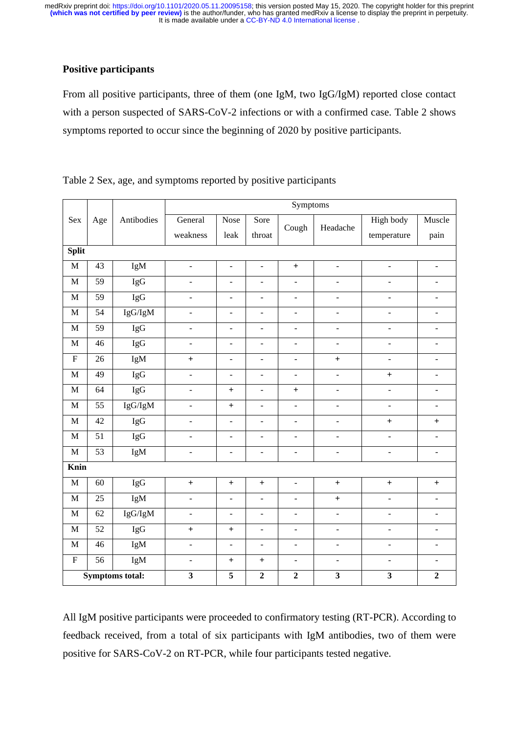# **Positive participants**

From all positive participants, three of them (one IgM, two IgG/IgM) reported close contact with a person suspected of SARS-CoV-2 infections or with a confirmed case. Table 2 shows symptoms reported to occur since the beginning of 2020 by positive participants.

|                           |                 |              | Symptoms                         |                                  |                          |                                  |                              |                          |                          |  |  |  |  |
|---------------------------|-----------------|--------------|----------------------------------|----------------------------------|--------------------------|----------------------------------|------------------------------|--------------------------|--------------------------|--|--|--|--|
| Sex<br>Age                |                 | Antibodies   | General                          | Nose<br>Sore                     |                          | Cough                            | Headache                     | High body                | Muscle                   |  |  |  |  |
|                           |                 |              | weakness                         | leak                             | throat                   |                                  |                              | temperature              | pain                     |  |  |  |  |
| <b>Split</b>              |                 |              |                                  |                                  |                          |                                  |                              |                          |                          |  |  |  |  |
| $\mathbf M$               | 43              | IgM          | $\frac{1}{2}$                    | $\frac{1}{2}$                    | $\overline{\phantom{a}}$ | $\ddot{}$                        | $\frac{1}{2}$                | $\Box$                   | $\overline{a}$           |  |  |  |  |
| $\mathbf{M}$              | 59              | IgG          | $\frac{1}{2}$                    | $\overline{a}$                   | $\overline{a}$           | $\overline{a}$                   | $\frac{1}{2}$                | $\frac{1}{2}$            | $\overline{a}$           |  |  |  |  |
| $\mathbf{M}$              | 59              | IgG          | $\overline{a}$                   | $\overline{\phantom{m}}$         | $\overline{\phantom{a}}$ | $\frac{1}{2}$                    | $\frac{1}{2}$                | $\Box$                   | $\overline{a}$           |  |  |  |  |
| $\mathbf M$               | $\overline{54}$ | IgG/IgM      | $\blacksquare$                   | $\overline{a}$                   | $\frac{1}{2}$            | $\overline{a}$                   | $\blacksquare$               | $\overline{\phantom{a}}$ | $\overline{\phantom{m}}$ |  |  |  |  |
| $\mathbf{M}$              | 59              | IgG          | $\blacksquare$                   | $\blacksquare$                   | $\overline{\phantom{a}}$ | $\overline{\phantom{m}}$         | $\blacksquare$               | $\blacksquare$           | $\frac{1}{2}$            |  |  |  |  |
| $\mathbf M$               | 46              | IgG          | $\blacksquare$                   | $\frac{1}{2}$                    | $\blacksquare$           | $\frac{1}{2}$                    | $\blacksquare$               | $\blacksquare$           | $\overline{\phantom{m}}$ |  |  |  |  |
| $\boldsymbol{\mathrm{F}}$ | 26              | IgM          | $\ddot{}$                        | $\overline{\phantom{m}}$         | $\blacksquare$           | $\frac{1}{2}$                    | $\ddot{}$                    | $\blacksquare$           | $\overline{\phantom{a}}$ |  |  |  |  |
| $\mathbf M$               | 49              | IgG          | $\blacksquare$                   | $\frac{1}{2}$                    | $\blacksquare$           | $\frac{1}{2}$                    | $\blacksquare$               | $\! + \!$                | $\frac{1}{2}$            |  |  |  |  |
| $\mathbf M$               | 64              | <b>IgG</b>   | $\blacksquare$                   | $\begin{array}{c} + \end{array}$ | $\blacksquare$           | $\begin{array}{c} + \end{array}$ | $\qquad \qquad \blacksquare$ | $\blacksquare$           | $\blacksquare$           |  |  |  |  |
| $\mathbf{M}$              | $\overline{55}$ | IgG/IgM      | $\blacksquare$                   | $\begin{array}{c} + \end{array}$ | $\blacksquare$           | $\blacksquare$                   | $\blacksquare$               | $\Box$                   | $\frac{1}{2}$            |  |  |  |  |
| $\mathbf M$               | 42              | IgG          | $\blacksquare$                   | $\blacksquare$                   | $\blacksquare$           | $\blacksquare$                   | $\blacksquare$               | $\! + \!$                | $\boldsymbol{+}$         |  |  |  |  |
| $\mathbf M$               | 51              | IgG          | $\blacksquare$                   | $\frac{1}{2}$                    | $\overline{\phantom{a}}$ | $\blacksquare$                   | $\frac{1}{2}$                | $\overline{\phantom{a}}$ | $\blacksquare$           |  |  |  |  |
| $\mathbf{M}$              | $\overline{53}$ | IgM          | $\overline{\phantom{a}}$         | $\Box$                           | $\blacksquare$           | $\blacksquare$                   | $\blacksquare$               | $\blacksquare$           | $\overline{\phantom{a}}$ |  |  |  |  |
| Knin                      |                 |              |                                  |                                  |                          |                                  |                              |                          |                          |  |  |  |  |
| M                         | $\overline{60}$ | IgG          | $\ddot{}$                        | $\ddot{}$                        | $\ddot{}$                | $\blacksquare$                   | $\! + \!$                    | $\boldsymbol{+}$         | $\boldsymbol{+}$         |  |  |  |  |
| $\mathbf M$               | 25              | IgM          | $\overline{\phantom{a}}$         | $\overline{a}$                   | $\overline{\phantom{a}}$ | $\blacksquare$                   | $\! + \!$                    | $\Box$                   | $\frac{1}{2}$            |  |  |  |  |
| $\mathbf M$               | 62              | IgG/IgM      | $\overline{a}$                   | $\overline{a}$                   | $\overline{a}$           | $\overline{a}$                   | $\overline{a}$               | $\overline{a}$           | $\overline{a}$           |  |  |  |  |
| $\mathbf M$               | 52              | IgG          | $\begin{array}{c} + \end{array}$ | $\, +$                           | $\frac{1}{2}$            | $\frac{1}{2}$                    | $\blacksquare$               | $\Box$                   | $\frac{1}{2}$            |  |  |  |  |
| $\mathbf M$               | 46              | IgM          | $\blacksquare$                   | $\Box$                           | $\overline{\phantom{a}}$ | $\blacksquare$                   | $\blacksquare$               | $\Box$                   | $\blacksquare$           |  |  |  |  |
| ${\bf F}$                 | 56              | IgM          | $\overline{\phantom{a}}$         | $\qquad \qquad +$                | $\boldsymbol{+}$         | $\overline{a}$                   | $\blacksquare$               | $\Box$                   | $\overline{a}$           |  |  |  |  |
| <b>Symptoms total:</b>    |                 | $\mathbf{3}$ | $\overline{\mathbf{5}}$          | $\overline{2}$                   | $\mathbf 2$              | $\overline{\mathbf{3}}$          | $\overline{\mathbf{3}}$      | $\overline{2}$           |                          |  |  |  |  |

Table 2 Sex, age, and symptoms reported by positive participants

All IgM positive participants were proceeded to confirmatory testing (RT-PCR). According to feedback received, from a total of six participants with IgM antibodies, two of them were positive for SARS-CoV-2 on RT-PCR, while four participants tested negative.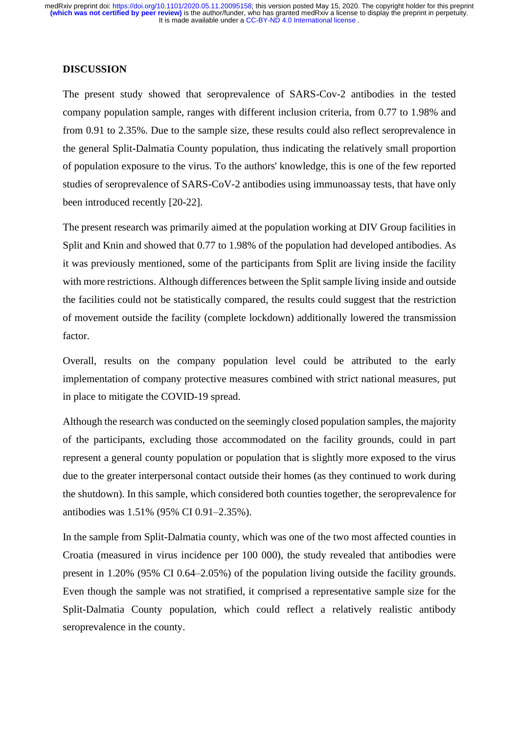### **DISCUSSION**

The present study showed that seroprevalence of SARS-Cov-2 antibodies in the tested company population sample, ranges with different inclusion criteria, from 0.77 to 1.98% and from 0.91 to 2.35%. Due to the sample size, these results could also reflect seroprevalence in the general Split-Dalmatia County population, thus indicating the relatively small proportion of population exposure to the virus. To the authors' knowledge, this is one of the few reported studies of seroprevalence of SARS-CoV-2 antibodies using immunoassay tests, that have only been introduced recently [20-22].

The present research was primarily aimed at the population working at DIV Group facilities in Split and Knin and showed that 0.77 to 1.98% of the population had developed antibodies. As it was previously mentioned, some of the participants from Split are living inside the facility with more restrictions. Although differences between the Split sample living inside and outside the facilities could not be statistically compared, the results could suggest that the restriction of movement outside the facility (complete lockdown) additionally lowered the transmission factor.

Overall, results on the company population level could be attributed to the early implementation of company protective measures combined with strict national measures, put in place to mitigate the COVID-19 spread.

Although the research was conducted on the seemingly closed population samples, the majority of the participants, excluding those accommodated on the facility grounds, could in part represent a general county population or population that is slightly more exposed to the virus due to the greater interpersonal contact outside their homes (as they continued to work during the shutdown). In this sample, which considered both counties together, the seroprevalence for antibodies was 1.51% (95% CI 0.91–2.35%).

In the sample from Split-Dalmatia county, which was one of the two most affected counties in Croatia (measured in virus incidence per 100 000), the study revealed that antibodies were present in 1.20% (95% CI 0.64–2.05%) of the population living outside the facility grounds. Even though the sample was not stratified, it comprised a representative sample size for the Split-Dalmatia County population, which could reflect a relatively realistic antibody seroprevalence in the county.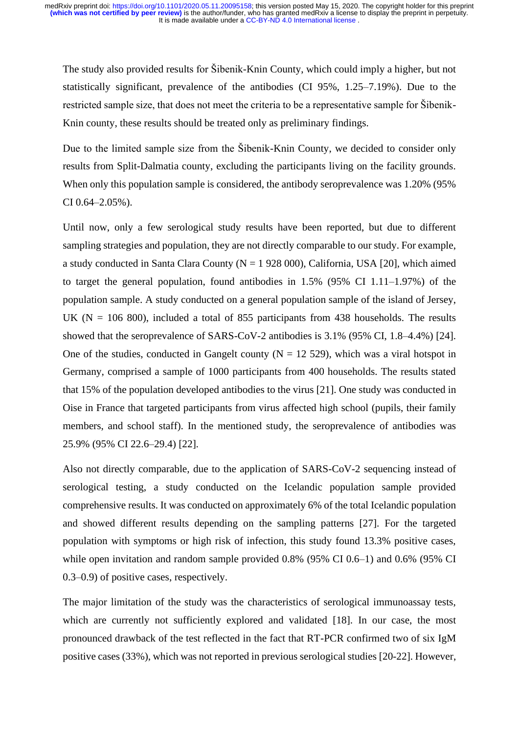The study also provided results for Šibenik-Knin County, which could imply a higher, but not statistically significant, prevalence of the antibodies (CI 95%, 1.25–7.19%). Due to the restricted sample size, that does not meet the criteria to be a representative sample for Šibenik-Knin county, these results should be treated only as preliminary findings.

Due to the limited sample size from the Šibenik-Knin County, we decided to consider only results from Split-Dalmatia county, excluding the participants living on the facility grounds. When only this population sample is considered, the antibody seroprevalence was 1.20% (95% CI 0.64–2.05%).

Until now, only a few serological study results have been reported, but due to different sampling strategies and population, they are not directly comparable to our study. For example, a study conducted in Santa Clara County ( $N = 1928000$ ), California, USA [20], which aimed to target the general population, found antibodies in 1.5% (95% CI 1.11–1.97%) of the population sample. A study conducted on a general population sample of the island of Jersey, UK ( $N = 106,800$ ), included a total of 855 participants from 438 households. The results showed that the seroprevalence of SARS-CoV-2 antibodies is 3.1% (95% CI, 1.8–4.4%) [24]. One of the studies, conducted in Gangelt county ( $N = 12529$ ), which was a viral hotspot in Germany, comprised a sample of 1000 participants from 400 households. The results stated that 15% of the population developed antibodies to the virus [21]. One study was conducted in Oise in France that targeted participants from virus affected high school (pupils, their family members, and school staff). In the mentioned study, the seroprevalence of antibodies was 25.9% (95% CI 22.6–29.4) [22].

Also not directly comparable, due to the application of SARS-CoV-2 sequencing instead of serological testing, a study conducted on the Icelandic population sample provided comprehensive results. It was conducted on approximately 6% of the total Icelandic population and showed different results depending on the sampling patterns [27]. For the targeted population with symptoms or high risk of infection, this study found 13.3% positive cases, while open invitation and random sample provided 0.8% (95% CI 0.6–1) and 0.6% (95% CI 0.3–0.9) of positive cases, respectively.

The major limitation of the study was the characteristics of serological immunoassay tests, which are currently not sufficiently explored and validated [18]. In our case, the most pronounced drawback of the test reflected in the fact that RT-PCR confirmed two of six IgM positive cases (33%), which was not reported in previous serological studies [20-22]. However,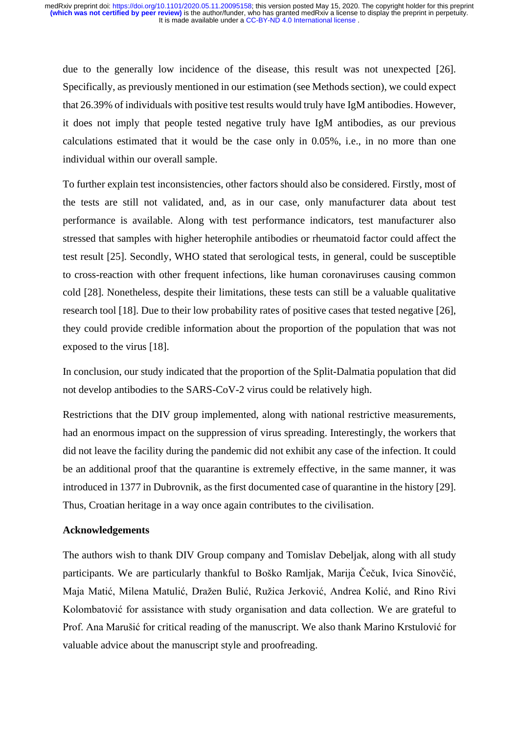due to the generally low incidence of the disease, this result was not unexpected [26]. Specifically, as previously mentioned in our estimation (see Methods section), we could expect that 26.39% of individuals with positive test results would truly have IgM antibodies. However, it does not imply that people tested negative truly have IgM antibodies, as our previous calculations estimated that it would be the case only in 0.05%, i.e., in no more than one individual within our overall sample.

To further explain test inconsistencies, other factors should also be considered. Firstly, most of the tests are still not validated, and, as in our case, only manufacturer data about test performance is available. Along with test performance indicators, test manufacturer also stressed that samples with higher heterophile antibodies or rheumatoid factor could affect the test result [25]. Secondly, WHO stated that serological tests, in general, could be susceptible to cross-reaction with other frequent infections, like human coronaviruses causing common cold [28]. Nonetheless, despite their limitations, these tests can still be a valuable qualitative research tool [18]. Due to their low probability rates of positive cases that tested negative [26], they could provide credible information about the proportion of the population that was not exposed to the virus [18].

In conclusion, our study indicated that the proportion of the Split-Dalmatia population that did not develop antibodies to the SARS-CoV-2 virus could be relatively high.

Restrictions that the DIV group implemented, along with national restrictive measurements, had an enormous impact on the suppression of virus spreading. Interestingly, the workers that did not leave the facility during the pandemic did not exhibit any case of the infection. It could be an additional proof that the quarantine is extremely effective, in the same manner, it was introduced in 1377 in Dubrovnik, as the first documented case of quarantine in the history [29]. Thus, Croatian heritage in a way once again contributes to the civilisation.

# **Acknowledgements**

The authors wish to thank DIV Group company and Tomislav Debeljak, along with all study participants. We are particularly thankful to Boško Ramljak, Marija Čečuk, Ivica Sinovčić, Maja Matić, Milena Matulić, Dražen Bulić, Ružica Jerković, Andrea Kolić, and Rino Rivi Kolombatović for assistance with study organisation and data collection. We are grateful to Prof. Ana Marušić for critical reading of the manuscript. We also thank Marino Krstulović for valuable advice about the manuscript style and proofreading.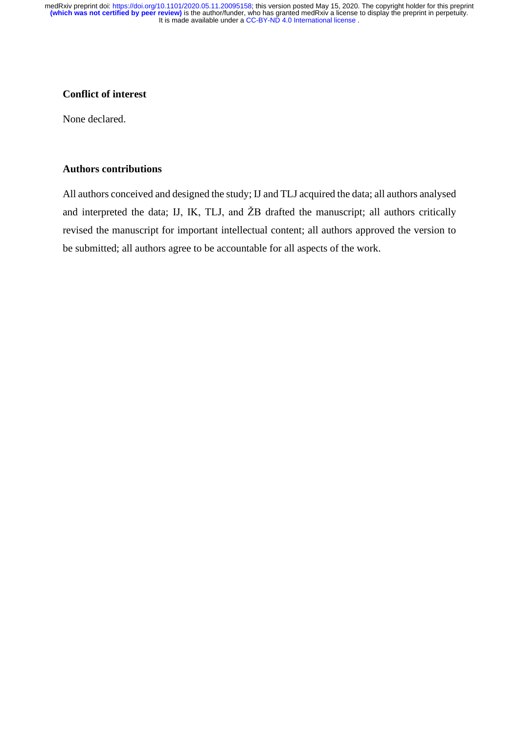# **Conflict of interest**

None declared.

### **Authors contributions**

All authors conceived and designed the study; IJ and TLJ acquired the data; all authors analysed and interpreted the data; IJ, IK, TLJ, and ŽB drafted the manuscript; all authors critically revised the manuscript for important intellectual content; all authors approved the version to be submitted; all authors agree to be accountable for all aspects of the work.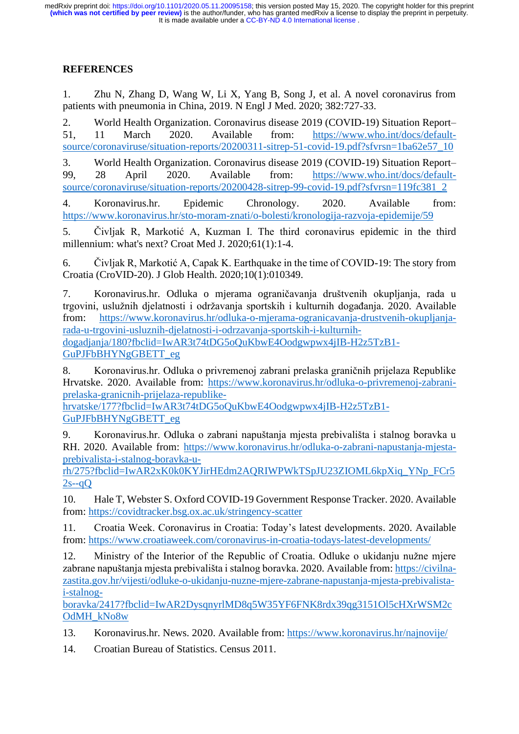# **REFERENCES**

1. Zhu N, Zhang D, Wang W, Li X, Yang B, Song J, et al. A novel coronavirus from patients with pneumonia in China, 2019. N Engl J Med. 2020; 382:727-33.

2. World Health Organization. Coronavirus disease 2019 (COVID-19) Situation Report– 51, 11 March 2020. Available from: [https://www.who.int/docs/default](https://www.who.int/docs/default-source/coronaviruse/situation-reports/20200311-sitrep-51-covid-19.pdf?sfvrsn=1ba62e57_10)[source/coronaviruse/situation-reports/20200311-sitrep-51-covid-19.pdf?sfvrsn=1ba62e57\\_10](https://www.who.int/docs/default-source/coronaviruse/situation-reports/20200311-sitrep-51-covid-19.pdf?sfvrsn=1ba62e57_10)

3. World Health Organization. Coronavirus disease 2019 (COVID-19) Situation Report– 99, 28 April 2020. Available from: [https://www.who.int/docs/default](https://www.who.int/docs/default-source/coronaviruse/situation-reports/20200428-sitrep-99-covid-19.pdf?sfvrsn=119fc381_2)[source/coronaviruse/situation-reports/20200428-sitrep-99-covid-19.pdf?sfvrsn=119fc381\\_2](https://www.who.int/docs/default-source/coronaviruse/situation-reports/20200428-sitrep-99-covid-19.pdf?sfvrsn=119fc381_2)

4. Koronavirus.hr. Epidemic Chronology. 2020. Available from: <https://www.koronavirus.hr/sto-moram-znati/o-bolesti/kronologija-razvoja-epidemije/59>

5. Čivljak R, Markotić A, Kuzman I. The third coronavirus epidemic in the third millennium: what's next? Croat Med J. 2020;61(1):1-4.

6. Čivljak R, Markotić A, Capak K. Earthquake in the time of COVID-19: The story from Croatia (CroVID-20). J Glob Health. 2020;10(1):010349.

7. Koronavirus.hr. Odluka o mjerama ograničavanja društvenih okupljanja, rada u trgovini, uslužnih djelatnosti i održavanja sportskih i kulturnih događanja. 2020. Available from: [https://www.koronavirus.hr/odluka-o-mjerama-ogranicavanja-drustvenih-okupljanja](https://www.koronavirus.hr/odluka-o-mjerama-ogranicavanja-drustvenih-okupljanja-rada-u-trgovini-usluznih-djelatnosti-i-odrzavanja-sportskih-i-kulturnih-dogadjanja/180?fbclid=IwAR3t74tDG5oQuKbwE4Oodgwpwx4jIB-H2z5TzB1-GuPJFbBHYNgGBETT_eg)[rada-u-trgovini-usluznih-djelatnosti-i-odrzavanja-sportskih-i-kulturnih](https://www.koronavirus.hr/odluka-o-mjerama-ogranicavanja-drustvenih-okupljanja-rada-u-trgovini-usluznih-djelatnosti-i-odrzavanja-sportskih-i-kulturnih-dogadjanja/180?fbclid=IwAR3t74tDG5oQuKbwE4Oodgwpwx4jIB-H2z5TzB1-GuPJFbBHYNgGBETT_eg)[dogadjanja/180?fbclid=IwAR3t74tDG5oQuKbwE4Oodgwpwx4jIB-H2z5TzB1-](https://www.koronavirus.hr/odluka-o-mjerama-ogranicavanja-drustvenih-okupljanja-rada-u-trgovini-usluznih-djelatnosti-i-odrzavanja-sportskih-i-kulturnih-dogadjanja/180?fbclid=IwAR3t74tDG5oQuKbwE4Oodgwpwx4jIB-H2z5TzB1-GuPJFbBHYNgGBETT_eg) [GuPJFbBHYNgGBETT\\_eg](https://www.koronavirus.hr/odluka-o-mjerama-ogranicavanja-drustvenih-okupljanja-rada-u-trgovini-usluznih-djelatnosti-i-odrzavanja-sportskih-i-kulturnih-dogadjanja/180?fbclid=IwAR3t74tDG5oQuKbwE4Oodgwpwx4jIB-H2z5TzB1-GuPJFbBHYNgGBETT_eg)

8. Koronavirus.hr. Odluka o privremenoj zabrani prelaska graničnih prijelaza Republike Hrvatske. 2020. Available from: [https://www.koronavirus.hr/odluka-o-privremenoj-zabrani](https://www.koronavirus.hr/odluka-o-privremenoj-zabrani-prelaska-granicnih-prijelaza-republike-hrvatske/177?fbclid=IwAR3t74tDG5oQuKbwE4Oodgwpwx4jIB-H2z5TzB1-GuPJFbBHYNgGBETT_eg)[prelaska-granicnih-prijelaza-republike-](https://www.koronavirus.hr/odluka-o-privremenoj-zabrani-prelaska-granicnih-prijelaza-republike-hrvatske/177?fbclid=IwAR3t74tDG5oQuKbwE4Oodgwpwx4jIB-H2z5TzB1-GuPJFbBHYNgGBETT_eg)

[hrvatske/177?fbclid=IwAR3t74tDG5oQuKbwE4Oodgwpwx4jIB-H2z5TzB1-](https://www.koronavirus.hr/odluka-o-privremenoj-zabrani-prelaska-granicnih-prijelaza-republike-hrvatske/177?fbclid=IwAR3t74tDG5oQuKbwE4Oodgwpwx4jIB-H2z5TzB1-GuPJFbBHYNgGBETT_eg) [GuPJFbBHYNgGBETT\\_eg](https://www.koronavirus.hr/odluka-o-privremenoj-zabrani-prelaska-granicnih-prijelaza-republike-hrvatske/177?fbclid=IwAR3t74tDG5oQuKbwE4Oodgwpwx4jIB-H2z5TzB1-GuPJFbBHYNgGBETT_eg)

9. Koronavirus.hr. Odluka o zabrani napuštanja mjesta prebivališta i stalnog boravka u RH. 2020. Available from: [https://www.koronavirus.hr/odluka-o-zabrani-napustanja-mjesta](https://www.koronavirus.hr/odluka-o-zabrani-napustanja-mjesta-prebivalista-i-stalnog-boravka-u-rh/275?fbclid=IwAR2xK0k0KYJirHEdm2AQRIWPWkTSpJU23ZIOML6kpXiq_YNp_FCr52s--qQ)[prebivalista-i-stalnog-boravka-u-](https://www.koronavirus.hr/odluka-o-zabrani-napustanja-mjesta-prebivalista-i-stalnog-boravka-u-rh/275?fbclid=IwAR2xK0k0KYJirHEdm2AQRIWPWkTSpJU23ZIOML6kpXiq_YNp_FCr52s--qQ)

[rh/275?fbclid=IwAR2xK0k0KYJirHEdm2AQRIWPWkTSpJU23ZIOML6kpXiq\\_YNp\\_FCr5](https://www.koronavirus.hr/odluka-o-zabrani-napustanja-mjesta-prebivalista-i-stalnog-boravka-u-rh/275?fbclid=IwAR2xK0k0KYJirHEdm2AQRIWPWkTSpJU23ZIOML6kpXiq_YNp_FCr52s--qQ)  $2s-aO$ 

10. Hale T, Webster S. Oxford COVID-19 Government Response Tracker. 2020. Available from:<https://covidtracker.bsg.ox.ac.uk/stringency-scatter>

11. Croatia Week. Coronavirus in Croatia: Today's latest developments. 2020. Available from:<https://www.croatiaweek.com/coronavirus-in-croatia-todays-latest-developments/>

12. Ministry of the Interior of the Republic of Croatia. Odluke o ukidanju nužne mjere zabrane napuštanja mjesta prebivališta i stalnog boravka. 2020. Available from: [https://civilna](https://civilna-zastita.gov.hr/vijesti/odluke-o-ukidanju-nuzne-mjere-zabrane-napustanja-mjesta-prebivalista-i-stalnog-boravka/2417?fbclid=IwAR2DysqnyrlMD8q5W35YF6FNK8rdx39qg3151Ol5cHXrWSM2cOdMH_kNo8w)[zastita.gov.hr/vijesti/odluke-o-ukidanju-nuzne-mjere-zabrane-napustanja-mjesta-prebivalista](https://civilna-zastita.gov.hr/vijesti/odluke-o-ukidanju-nuzne-mjere-zabrane-napustanja-mjesta-prebivalista-i-stalnog-boravka/2417?fbclid=IwAR2DysqnyrlMD8q5W35YF6FNK8rdx39qg3151Ol5cHXrWSM2cOdMH_kNo8w)[i-stalnog-](https://civilna-zastita.gov.hr/vijesti/odluke-o-ukidanju-nuzne-mjere-zabrane-napustanja-mjesta-prebivalista-i-stalnog-boravka/2417?fbclid=IwAR2DysqnyrlMD8q5W35YF6FNK8rdx39qg3151Ol5cHXrWSM2cOdMH_kNo8w)

[boravka/2417?fbclid=IwAR2DysqnyrlMD8q5W35YF6FNK8rdx39qg3151Ol5cHXrWSM2c](https://civilna-zastita.gov.hr/vijesti/odluke-o-ukidanju-nuzne-mjere-zabrane-napustanja-mjesta-prebivalista-i-stalnog-boravka/2417?fbclid=IwAR2DysqnyrlMD8q5W35YF6FNK8rdx39qg3151Ol5cHXrWSM2cOdMH_kNo8w) [OdMH\\_kNo8w](https://civilna-zastita.gov.hr/vijesti/odluke-o-ukidanju-nuzne-mjere-zabrane-napustanja-mjesta-prebivalista-i-stalnog-boravka/2417?fbclid=IwAR2DysqnyrlMD8q5W35YF6FNK8rdx39qg3151Ol5cHXrWSM2cOdMH_kNo8w)

13. Koronavirus.hr. News. 2020. Available from: <https://www.koronavirus.hr/najnovije/>

14. Croatian Bureau of Statistics. Census 2011.